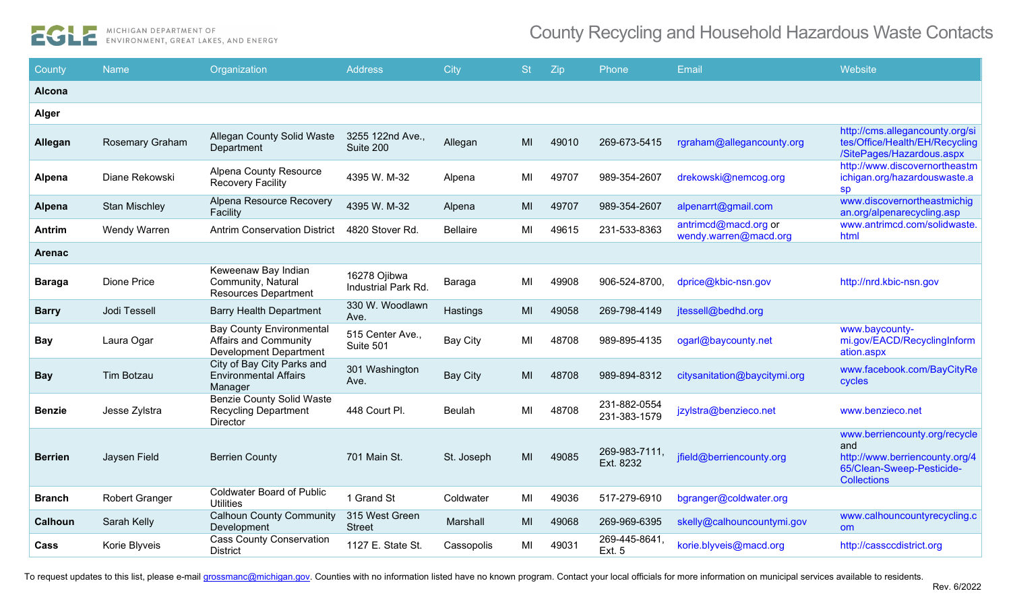

| County         | <b>Name</b>            | Organization                                                                                     | <b>Address</b>                      | <b>City</b>     | <b>St</b> | Zip   | Phone                        | Email                                         | Website                                                                                                                   |
|----------------|------------------------|--------------------------------------------------------------------------------------------------|-------------------------------------|-----------------|-----------|-------|------------------------------|-----------------------------------------------|---------------------------------------------------------------------------------------------------------------------------|
| Alcona         |                        |                                                                                                  |                                     |                 |           |       |                              |                                               |                                                                                                                           |
| <b>Alger</b>   |                        |                                                                                                  |                                     |                 |           |       |                              |                                               |                                                                                                                           |
| <b>Allegan</b> | <b>Rosemary Graham</b> | <b>Allegan County Solid Waste</b><br>Department                                                  | 3255 122nd Ave.,<br>Suite 200       | Allegan         | MI        | 49010 | 269-673-5415                 | rgraham@allegancounty.org                     | http://cms.allegancounty.org/si<br>tes/Office/Health/EH/Recycling<br>/SitePages/Hazardous.aspx                            |
| <b>Alpena</b>  | Diane Rekowski         | <b>Alpena County Resource</b><br>Recovery Facility                                               | 4395 W. M-32                        | Alpena          | ML        | 49707 | 989-354-2607                 | drekowski@nemcog.org                          | http://www.discovernortheastm<br>ichigan.org/hazardouswaste.a<br><b>SD</b>                                                |
| <b>Alpena</b>  | <b>Stan Mischley</b>   | Alpena Resource Recovery<br>Facility                                                             | 4395 W. M-32                        | Alpena          | MI        | 49707 | 989-354-2607                 | alpenarrt@gmail.com                           | www.discovernortheastmichig<br>an.org/alpenarecycling.asp                                                                 |
| <b>Antrim</b>  | Wendy Warren           | <b>Antrim Conservation District</b>                                                              | 4820 Stover Rd.                     | <b>Bellaire</b> | MI        | 49615 | 231-533-8363                 | antrimcd@macd.org or<br>wendy.warren@macd.org | www.antrimcd.com/solidwaste.<br>html                                                                                      |
| <b>Arenac</b>  |                        |                                                                                                  |                                     |                 |           |       |                              |                                               |                                                                                                                           |
| <b>Baraga</b>  | <b>Dione Price</b>     | Keweenaw Bay Indian<br>Community, Natural<br><b>Resources Department</b>                         | 16278 Ojibwa<br>Industrial Park Rd. | Baraga          | MI        | 49908 | 906-524-8700,                | dprice@kbic-nsn.gov                           | http://nrd.kbic-nsn.gov                                                                                                   |
| <b>Barry</b>   | Jodi Tessell           | <b>Barry Health Department</b>                                                                   | 330 W. Woodlawn<br>Ave.             | Hastings        | MI        | 49058 | 269-798-4149                 | jtessell@bedhd.org                            |                                                                                                                           |
| <b>Bay</b>     | Laura Ogar             | <b>Bay County Environmental</b><br><b>Affairs and Community</b><br><b>Development Department</b> | 515 Center Ave.,<br>Suite 501       | <b>Bay City</b> | MI        | 48708 | 989-895-4135                 | ogarl@baycounty.net                           | www.baycounty-<br>mi.gov/EACD/RecyclingInform<br>ation.aspx                                                               |
| <b>Bay</b>     | Tim Botzau             | City of Bay City Parks and<br><b>Environmental Affairs</b><br>Manager                            | 301 Washington<br>Ave.              | <b>Bay City</b> | MI        | 48708 | 989-894-8312                 | citysanitation@baycitymi.org                  | www.facebook.com/BayCityRe<br>cycles                                                                                      |
| <b>Benzie</b>  | Jesse Zylstra          | <b>Benzie County Solid Waste</b><br><b>Recycling Department</b><br><b>Director</b>               | 448 Court Pl.                       | <b>Beulah</b>   | MI        | 48708 | 231-882-0554<br>231-383-1579 | jzylstra@benzieco.net                         | www.benzieco.net                                                                                                          |
| <b>Berrien</b> | Jaysen Field           | <b>Berrien County</b>                                                                            | 701 Main St.                        | St. Joseph      | MI        | 49085 | 269-983-7111,<br>Ext. 8232   | jfield@berriencounty.org                      | www.berriencounty.org/recycle<br>and<br>http://www.berriencounty.org/4<br>65/Clean-Sweep-Pesticide-<br><b>Collections</b> |
| Branch         | <b>Robert Granger</b>  | <b>Coldwater Board of Public</b><br><b>Utilities</b>                                             | 1 Grand St                          | Coldwater       | MI        | 49036 | 517-279-6910                 | bgranger@coldwater.org                        |                                                                                                                           |
| <b>Calhoun</b> | Sarah Kelly            | <b>Calhoun County Community</b><br>Development                                                   | 315 West Green<br><b>Street</b>     | Marshall        | MI        | 49068 | 269-969-6395                 | skelly@calhouncountymi.gov                    | www.calhouncountyrecycling.c<br><b>om</b>                                                                                 |
| Cass           | Korie Blyveis          | <b>Cass County Conservation</b><br><b>District</b>                                               | 1127 E. State St.                   | Cassopolis      | MI        | 49031 | 269-445-8641,<br>Ext. 5      | korie.blyveis@macd.org                        | http://cassccdistrict.org                                                                                                 |

To request updates to this list, please e-mail [grossmanc@michigan.gov.](mailto:grossmanc@michigan.gov) Counties with no information listed have no known program. Contact your local officials for more information on municipal services available to residen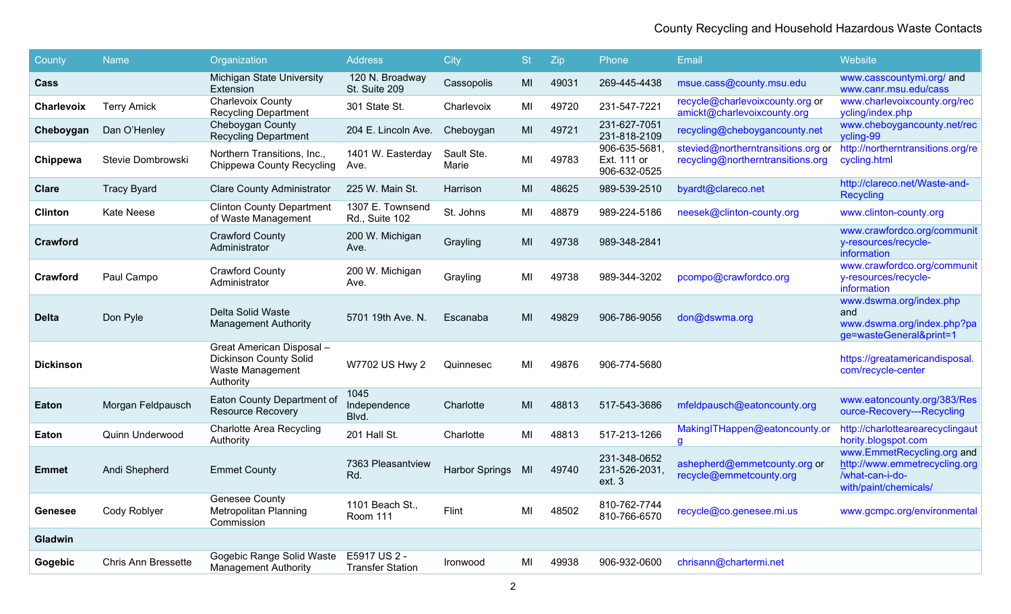| County            | <b>Name</b>         | Organization                                                                                | <b>Address</b>                          | City                  | <b>St</b> | Zip   | Phone                                       | Email                                                                   | Website                                                                                                 |
|-------------------|---------------------|---------------------------------------------------------------------------------------------|-----------------------------------------|-----------------------|-----------|-------|---------------------------------------------|-------------------------------------------------------------------------|---------------------------------------------------------------------------------------------------------|
| Cass              |                     | Michigan State University<br>Extension                                                      | 120 N. Broadway<br>St. Suite 209        | Cassopolis            | MI        | 49031 | 269-445-4438                                | msue.cass@county.msu.edu                                                | www.casscountymi.org/ and<br>www.canr.msu.edu/cass                                                      |
| <b>Charlevoix</b> | <b>Terry Amick</b>  | <b>Charlevoix County</b><br><b>Recycling Department</b>                                     | 301 State St.                           | Charlevoix            | MI        | 49720 | 231-547-7221                                | recycle@charlevoixcounty.org or<br>amickt@charlevoixcounty.org          | www.charlevoixcounty.org/rec<br>ycling/index.php                                                        |
| Cheboygan         | Dan O'Henley        | Cheboygan County<br><b>Recycling Department</b>                                             | 204 E. Lincoln Ave.                     | Cheboygan             | MI        | 49721 | 231-627-7051<br>231-818-2109                | recycling@cheboygancounty.net                                           | www.cheboygancounty.net/rec<br>ycling-99                                                                |
| Chippewa          | Stevie Dombrowski   | Northern Transitions, Inc.,<br><b>Chippewa County Recycling</b>                             | 1401 W. Easterday<br>Ave.               | Sault Ste.<br>Marie   | MI        | 49783 | 906-635-5681<br>Ext. 111 or<br>906-632-0525 | stevied@northerntransitions.org or<br>recycling@northerntransitions.org | http://northerntransitions.org/re<br>cycling.html                                                       |
| Clare             | <b>Tracy Byard</b>  | <b>Clare County Administrator</b>                                                           | 225 W. Main St.                         | Harrison              | MI        | 48625 | 989-539-2510                                | byardt@clareco.net                                                      | http://clareco.net/Waste-and-<br><b>Recycling</b>                                                       |
| Clinton           | Kate Neese          | <b>Clinton County Department</b><br>of Waste Management                                     | 1307 E. Townsend<br>Rd., Suite 102      | St. Johns             | MI        | 48879 | 989-224-5186                                | neesek@clinton-county.org                                               | www.clinton-county.org                                                                                  |
| <b>Crawford</b>   |                     | <b>Crawford County</b><br>Administrator                                                     | 200 W. Michigan<br>Ave.                 | Grayling              | MI        | 49738 | 989-348-2841                                |                                                                         | www.crawfordco.org/communit<br>y-resources/recycle-<br>information                                      |
| <b>Crawford</b>   | Paul Campo          | <b>Crawford County</b><br>Administrator                                                     | 200 W. Michigan<br>Ave.                 | Grayling              | MI        | 49738 | 989-344-3202                                | pcompo@crawfordco.org                                                   | www.crawfordco.org/communit<br>y-resources/recycle-<br>information                                      |
| <b>Delta</b>      | Don Pyle            | Delta Solid Waste<br><b>Management Authority</b>                                            | 5701 19th Ave. N.                       | Escanaba              | MI        | 49829 | 906-786-9056                                | don@dswma.org                                                           | www.dswma.org/index.php<br>and<br>www.dswma.org/index.php?pa<br>ge=wasteGeneral&print=1                 |
| <b>Dickinson</b>  |                     | Great American Disposal -<br><b>Dickinson County Solid</b><br>Waste Management<br>Authority | W7702 US Hwy 2                          | Quinnesec             | MI        | 49876 | 906-774-5680                                |                                                                         | https://greatamericandisposal.<br>com/recycle-center                                                    |
| Eaton             | Morgan Feldpausch   | Eaton County Department of<br><b>Resource Recovery</b>                                      | 1045<br>Independence<br>Blvd.           | Charlotte             | MI        | 48813 | 517-543-3686                                | mfeldpausch@eatoncounty.org                                             | www.eatoncounty.org/383/Res<br>ource-Recovery---Recycling                                               |
| Eaton             | Quinn Underwood     | <b>Charlotte Area Recycling</b><br>Authority                                                | 201 Hall St.                            | Charlotte             | MI        | 48813 | 517-213-1266                                | MakingITHappen@eatoncounty.or<br>g                                      | http://charlottearearecyclingaut<br>hority.blogspot.com                                                 |
| <b>Emmet</b>      | Andi Shepherd       | <b>Emmet County</b>                                                                         | 7363 Pleasantview<br>Rd.                | <b>Harbor Springs</b> | MI        | 49740 | 231-348-0652<br>231-526-2031,<br>ext. 3     | ashepherd@emmetcounty.org or<br>recycle@emmetcounty.org                 | www.EmmetRecycling.org and<br>http://www.emmetrecycling.org<br>/what-can-i-do-<br>with/paint/chemicals/ |
| Genesee           | Cody Roblyer        | <b>Genesee County</b><br><b>Metropolitan Planning</b><br>Commission                         | 1101 Beach St.,<br>Room 111             | Flint                 | MI        | 48502 | 810-762-7744<br>810-766-6570                | recycle@co.genesee.mi.us                                                | www.gcmpc.org/environmental                                                                             |
| Gladwin           |                     |                                                                                             |                                         |                       |           |       |                                             |                                                                         |                                                                                                         |
| Gogebic           | Chris Ann Bressette | Gogebic Range Solid Waste<br><b>Management Authority</b>                                    | E5917 US 2 -<br><b>Transfer Station</b> | <b>Ironwood</b>       | MI        | 49938 | 906-932-0600                                | chrisann@chartermi.net                                                  |                                                                                                         |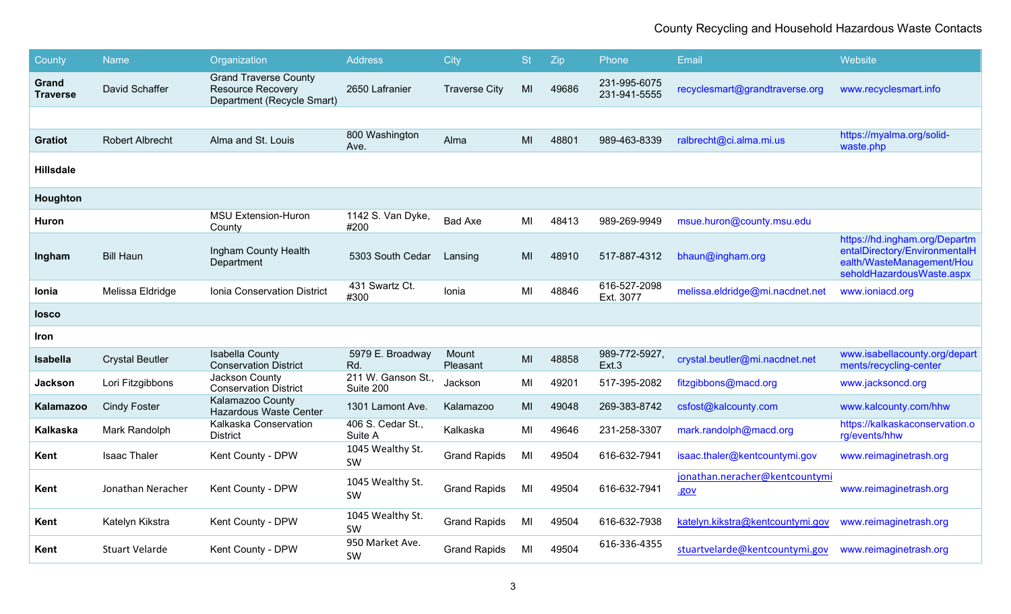| <b>County</b>            | <b>Name</b>            | Organization                                                                           | <b>Address</b>                  | City                 | <b>St</b> | Zip   | Phone                        | Email                                  | Website                                                                                                                  |
|--------------------------|------------------------|----------------------------------------------------------------------------------------|---------------------------------|----------------------|-----------|-------|------------------------------|----------------------------------------|--------------------------------------------------------------------------------------------------------------------------|
| Grand<br><b>Traverse</b> | David Schaffer         | <b>Grand Traverse County</b><br><b>Resource Recovery</b><br>Department (Recycle Smart) | 2650 Lafranier                  | <b>Traverse City</b> | MI        | 49686 | 231-995-6075<br>231-941-5555 | recyclesmart@grandtraverse.org         | www.recyclesmart.info                                                                                                    |
|                          |                        |                                                                                        |                                 |                      |           |       |                              |                                        |                                                                                                                          |
| <b>Gratiot</b>           | Robert Albrecht        | Alma and St. Louis                                                                     | 800 Washington<br>Ave.          | Alma                 | MI        | 48801 | 989-463-8339                 | ralbrecht@ci.alma.mi.us                | https://myalma.org/solid-<br>waste.php                                                                                   |
| <b>Hillsdale</b>         |                        |                                                                                        |                                 |                      |           |       |                              |                                        |                                                                                                                          |
| Houghton                 |                        |                                                                                        |                                 |                      |           |       |                              |                                        |                                                                                                                          |
| Huron                    |                        | <b>MSU Extension-Huron</b><br>County                                                   | 1142 S. Van Dyke,<br>#200       | <b>Bad Axe</b>       | MI        | 48413 | 989-269-9949                 | msue.huron@county.msu.edu              |                                                                                                                          |
| Ingham                   | <b>Bill Haun</b>       | Ingham County Health<br>Department                                                     | 5303 South Cedar                | Lansing              | MI        | 48910 | 517-887-4312                 | bhaun@ingham.org                       | https://hd.ingham.org/Departm<br>entalDirectory/EnvironmentalH<br>ealth/WasteManagement/Hou<br>seholdHazardousWaste.aspx |
| Ionia                    | Melissa Eldridge       | Ionia Conservation District                                                            | 431 Swartz Ct.<br>#300          | Ionia                | MI        | 48846 | 616-527-2098<br>Ext. 3077    | melissa.eldridge@mi.nacdnet.net        | www.ioniacd.org                                                                                                          |
| <b>losco</b>             |                        |                                                                                        |                                 |                      |           |       |                              |                                        |                                                                                                                          |
| Iron                     |                        |                                                                                        |                                 |                      |           |       |                              |                                        |                                                                                                                          |
| <b>Isabella</b>          | <b>Crystal Beutler</b> | <b>Isabella County</b><br><b>Conservation District</b>                                 | 5979 E. Broadway<br>Rd.         | Mount<br>Pleasant    | MI        | 48858 | 989-772-5927,<br>Ext.3       | crystal.beutler@mi.nacdnet.net         | www.isabellacounty.org/depart<br>ments/recycling-center                                                                  |
| Jackson                  | Lori Fitzgibbons       | Jackson County<br><b>Conservation District</b>                                         | 211 W. Ganson St.,<br>Suite 200 | Jackson              | MI        | 49201 | 517-395-2082                 | fitzgibbons@macd.org                   | www.jacksoncd.org                                                                                                        |
| Kalamazoo                | <b>Cindy Foster</b>    | Kalamazoo County<br><b>Hazardous Waste Center</b>                                      | 1301 Lamont Ave.                | Kalamazoo            | MI        | 49048 | 269-383-8742                 | csfost@kalcounty.com                   | www.kalcounty.com/hhw                                                                                                    |
| <b>Kalkaska</b>          | Mark Randolph          | Kalkaska Conservation<br><b>District</b>                                               | 406 S. Cedar St.,<br>Suite A    | Kalkaska             | MI        | 49646 | 231-258-3307                 | mark.randolph@macd.org                 | https://kalkaskaconservation.o<br>rg/events/hhw                                                                          |
| Kent                     | <b>Isaac Thaler</b>    | Kent County - DPW                                                                      | 1045 Wealthy St.<br><b>SW</b>   | <b>Grand Rapids</b>  | MI        | 49504 | 616-632-7941                 | isaac.thaler@kentcountymi.gov          | www.reimaginetrash.org                                                                                                   |
| Kent                     | Jonathan Neracher      | Kent County - DPW                                                                      | 1045 Wealthy St.<br><b>SW</b>   | <b>Grand Rapids</b>  | MI        | 49504 | 616-632-7941                 | jonathan.neracher@kentcountymi<br>.gov | www.reimaginetrash.org                                                                                                   |
| Kent                     | Katelyn Kikstra        | Kent County - DPW                                                                      | 1045 Wealthy St.<br>SW          | <b>Grand Rapids</b>  | MI        | 49504 | 616-632-7938                 | katelyn.kikstra@kentcountymi.gov       | www.reimaginetrash.org                                                                                                   |
| Kent                     | Stuart Velarde         | Kent County - DPW                                                                      | 950 Market Ave.<br>SW           | <b>Grand Rapids</b>  | MI        | 49504 | 616-336-4355                 | stuartvelarde@kentcountymi.gov         | www.reimaginetrash.org                                                                                                   |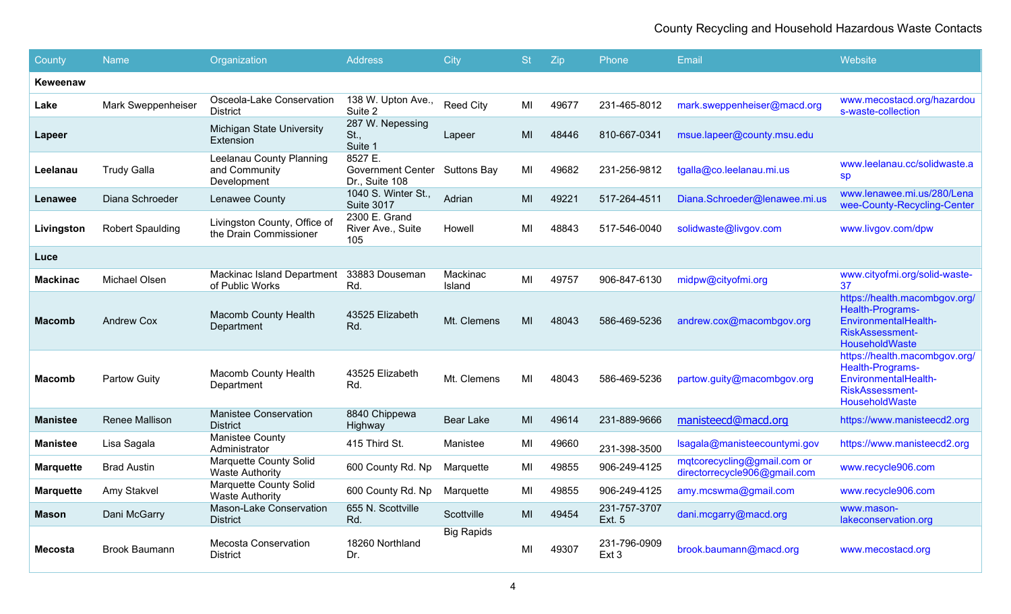| County           | <b>Name</b>             | Organization                                             | <b>Address</b>                                             | City               | <b>St</b> | Zip   | <b>Phone</b>                  | Email                                                       | Website                                                                                                               |
|------------------|-------------------------|----------------------------------------------------------|------------------------------------------------------------|--------------------|-----------|-------|-------------------------------|-------------------------------------------------------------|-----------------------------------------------------------------------------------------------------------------------|
| Keweenaw         |                         |                                                          |                                                            |                    |           |       |                               |                                                             |                                                                                                                       |
| Lake             | Mark Sweppenheiser      | Osceola-Lake Conservation<br><b>District</b>             | 138 W. Upton Ave.,<br>Suite 2                              | <b>Reed City</b>   | MI        | 49677 | 231-465-8012                  | mark.sweppenheiser@macd.org                                 | www.mecostacd.org/hazardou<br>s-waste-collection                                                                      |
| Lapeer           |                         | Michigan State University<br>Extension                   | 287 W. Nepessing<br>St.,<br>Suite 1                        | Lapeer             | MI        | 48446 | 810-667-0341                  | msue.lapeer@county.msu.edu                                  |                                                                                                                       |
| Leelanau         | <b>Trudy Galla</b>      | Leelanau County Planning<br>and Community<br>Development | 8527 E.<br>Government Center Suttons Bay<br>Dr., Suite 108 |                    | MI        | 49682 | 231-256-9812                  | tgalla@co.leelanau.mi.us                                    | www.leelanau.cc/solidwaste.a<br><b>sp</b>                                                                             |
| Lenawee          | Diana Schroeder         | Lenawee County                                           | 1040 S. Winter St.,<br><b>Suite 3017</b>                   | Adrian             | MI        | 49221 | 517-264-4511                  | Diana.Schroeder@lenawee.mi.us                               | www.lenawee.mi.us/280/Lena<br>wee-County-Recycling-Center                                                             |
| Livingston       | <b>Robert Spaulding</b> | Livingston County, Office of<br>the Drain Commissioner   | 2300 E. Grand<br>River Ave., Suite<br>105                  | Howell             | MI        | 48843 | 517-546-0040                  | solidwaste@livgov.com                                       | www.livgov.com/dpw                                                                                                    |
| Luce             |                         |                                                          |                                                            |                    |           |       |                               |                                                             |                                                                                                                       |
| <b>Mackinac</b>  | <b>Michael Olsen</b>    | <b>Mackinac Island Department</b><br>of Public Works     | 33883 Douseman<br>Rd.                                      | Mackinac<br>Island | MI        | 49757 | 906-847-6130                  | midpw@cityofmi.org                                          | www.cityofmi.org/solid-waste-<br>37                                                                                   |
| Macomb           | <b>Andrew Cox</b>       | <b>Macomb County Health</b><br>Department                | 43525 Elizabeth<br>Rd.                                     | Mt. Clemens        | MI        | 48043 | 586-469-5236                  | andrew.cox@macombgov.org                                    | https://health.macombgov.org/<br>Health-Programs-<br>EnvironmentalHealth-<br><b>RiskAssessment-</b><br>HouseholdWaste |
| Macomb           | <b>Partow Guity</b>     | Macomb County Health<br>Department                       | 43525 Elizabeth<br>Rd.                                     | Mt. Clemens        | MI        | 48043 | 586-469-5236                  | partow.guity@macombgov.org                                  | https://health.macombgov.org/<br>Health-Programs-<br>EnvironmentalHealth-<br><b>RiskAssessment-</b><br>HouseholdWaste |
| <b>Manistee</b>  | Renee Mallison          | <b>Manistee Conservation</b><br><b>District</b>          | 8840 Chippewa<br>Highway                                   | Bear Lake          | MI        | 49614 | 231-889-9666                  | manisteecd@macd.org                                         | https://www.manisteecd2.org                                                                                           |
| <b>Manistee</b>  | Lisa Sagala             | Manistee County<br>Administrator                         | 415 Third St.                                              | Manistee           | MI        | 49660 | 231-398-3500                  | Isagala@manisteecountymi.gov                                | https://www.manisteecd2.org                                                                                           |
| <b>Marquette</b> | <b>Brad Austin</b>      | <b>Marquette County Solid</b><br><b>Waste Authority</b>  | 600 County Rd. Np                                          | Marquette          | MI        | 49855 | 906-249-4125                  | mqtcorecycling@gmail.com or<br>directorrecycle906@gmail.com | www.recycle906.com                                                                                                    |
| <b>Marquette</b> | Amy Stakvel             | <b>Marquette County Solid</b><br><b>Waste Authority</b>  | 600 County Rd. Np                                          | Marquette          | MI        | 49855 | 906-249-4125                  | amy.mcswma@gmail.com                                        | www.recycle906.com                                                                                                    |
| <b>Mason</b>     | Dani McGarry            | Mason-Lake Conservation<br><b>District</b>               | 655 N. Scottville<br>Rd.                                   | Scottville         | MI        | 49454 | 231-757-3707<br><b>Ext. 5</b> | dani.mcgarry@macd.org                                       | www.mason-<br>lakeconservation.org                                                                                    |
| <b>Mecosta</b>   | <b>Brook Baumann</b>    | <b>Mecosta Conservation</b><br><b>District</b>           | 18260 Northland<br>Dr.                                     | <b>Big Rapids</b>  | MI        | 49307 | 231-796-0909<br>Ext 3         | brook.baumann@macd.org                                      | www.mecostacd.org                                                                                                     |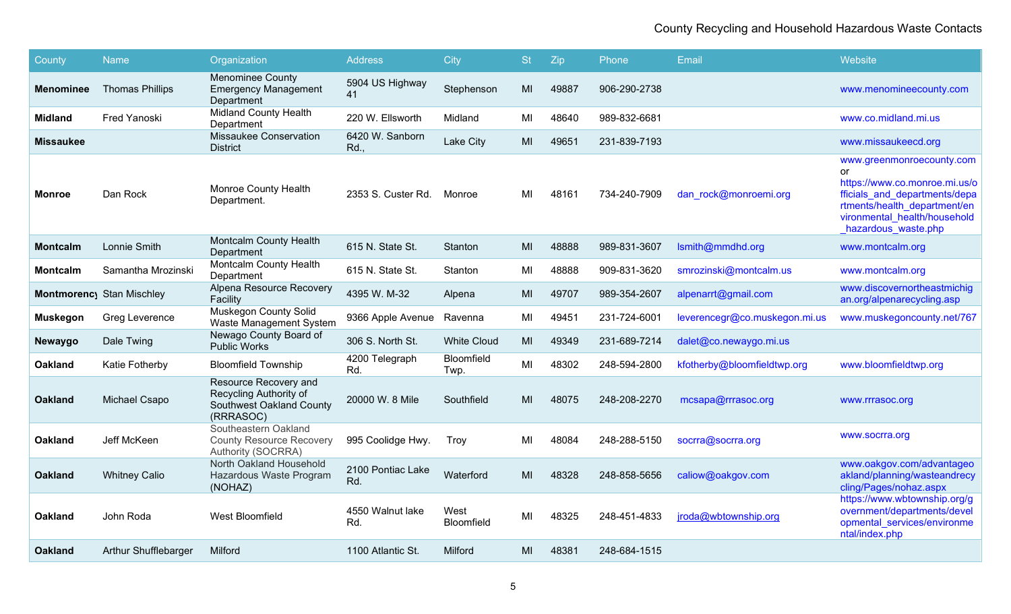| County           | <b>Name</b>                      | Organization                                                                             | <b>Address</b>           | City               | <b>St</b> | Zip   | Phone        | Email                         | Website                                                                                                                                                                                  |
|------------------|----------------------------------|------------------------------------------------------------------------------------------|--------------------------|--------------------|-----------|-------|--------------|-------------------------------|------------------------------------------------------------------------------------------------------------------------------------------------------------------------------------------|
| <b>Menominee</b> | <b>Thomas Phillips</b>           | <b>Menominee County</b><br><b>Emergency Management</b><br>Department                     | 5904 US Highway<br>41    | Stephenson         | MI        | 49887 | 906-290-2738 |                               | www.menomineecounty.com                                                                                                                                                                  |
| Midland          | <b>Fred Yanoski</b>              | <b>Midland County Health</b><br>Department                                               | 220 W. Ellsworth         | Midland            | MI        | 48640 | 989-832-6681 |                               | www.co.midland.mi.us                                                                                                                                                                     |
| <b>Missaukee</b> |                                  | <b>Missaukee Conservation</b><br><b>District</b>                                         | 6420 W. Sanborn<br>Rd.   | Lake City          | MI        | 49651 | 231-839-7193 |                               | www.missaukeecd.org                                                                                                                                                                      |
| Monroe           | Dan Rock                         | <b>Monroe County Health</b><br>Department.                                               | 2353 S. Custer Rd.       | Monroe             | MI        | 48161 | 734-240-7909 | dan rock@monroemi.org         | www.greenmonroecounty.com<br>or<br>https://www.co.monroe.mi.us/o<br>fficials and departments/depa<br>rtments/health department/en<br>vironmental health/household<br>hazardous waste.php |
| <b>Montcalm</b>  | Lonnie Smith                     | <b>Montcalm County Health</b><br>Department                                              | 615 N. State St.         | Stanton            | MI        | 48888 | 989-831-3607 | Ismith@mmdhd.org              | www.montcalm.org                                                                                                                                                                         |
| <b>Montcalm</b>  | Samantha Mrozinski               | <b>Montcalm County Health</b><br>Department                                              | 615 N. State St.         | Stanton            | MI        | 48888 | 909-831-3620 | smrozinski@montcalm.us        | www.montcalm.org                                                                                                                                                                         |
|                  | <b>Montmorency Stan Mischley</b> | Alpena Resource Recovery<br>Facility                                                     | 4395 W. M-32             | Alpena             | MI        | 49707 | 989-354-2607 | alpenarrt@gmail.com           | www.discovernortheastmichig<br>an.org/alpenarecycling.asp                                                                                                                                |
| <b>Muskegon</b>  | Greg Leverence                   | <b>Muskegon County Solid</b><br>Waste Management System                                  | 9366 Apple Avenue        | Ravenna            | MI        | 49451 | 231-724-6001 | leverencegr@co.muskegon.mi.us | www.muskegoncounty.net/767                                                                                                                                                               |
| Newaygo          | Dale Twing                       | Newago County Board of<br><b>Public Works</b>                                            | 306 S. North St.         | <b>White Cloud</b> | MI        | 49349 | 231-689-7214 | dalet@co.newaygo.mi.us        |                                                                                                                                                                                          |
| <b>Oakland</b>   | Katie Fotherby                   | <b>Bloomfield Township</b>                                                               | 4200 Telegraph<br>Rd.    | Bloomfield<br>Twp. | MI        | 48302 | 248-594-2800 | kfotherby@bloomfieldtwp.org   | www.bloomfieldtwp.org                                                                                                                                                                    |
| <b>Oakland</b>   | Michael Csapo                    | Resource Recovery and<br>Recycling Authority of<br>Southwest Oakland County<br>(RRRASOC) | 20000 W. 8 Mile          | Southfield         | MI        | 48075 | 248-208-2270 | mcsapa@rrrasoc.org            | www.rrrasoc.org                                                                                                                                                                          |
| <b>Oakland</b>   | Jeff McKeen                      | Southeastern Oakland<br><b>County Resource Recovery</b><br>Authority (SOCRRA)            | 995 Coolidge Hwy.        | Troy               | MI        | 48084 | 248-288-5150 | socrra@socrra.org             | www.socrra.org                                                                                                                                                                           |
| <b>Oakland</b>   | <b>Whitney Calio</b>             | North Oakland Household<br>Hazardous Waste Program<br>(NOHAZ)                            | 2100 Pontiac Lake<br>Rd. | Waterford          | MI        | 48328 | 248-858-5656 | caliow@oakgov.com             | www.oakgov.com/advantageo<br>akland/planning/wasteandrecy<br>cling/Pages/nohaz.aspx                                                                                                      |
| <b>Oakland</b>   | John Roda                        | West Bloomfield                                                                          | 4550 Walnut lake<br>Rd.  | West<br>Bloomfield | MI        | 48325 | 248-451-4833 | jroda@wbtownship.org          | https://www.wbtownship.org/g<br>overnment/departments/devel<br>opmental services/environme<br>ntal/index.php                                                                             |
| <b>Oakland</b>   | Arthur Shufflebarger             | Milford                                                                                  | 1100 Atlantic St.        | Milford            | MI        | 48381 | 248-684-1515 |                               |                                                                                                                                                                                          |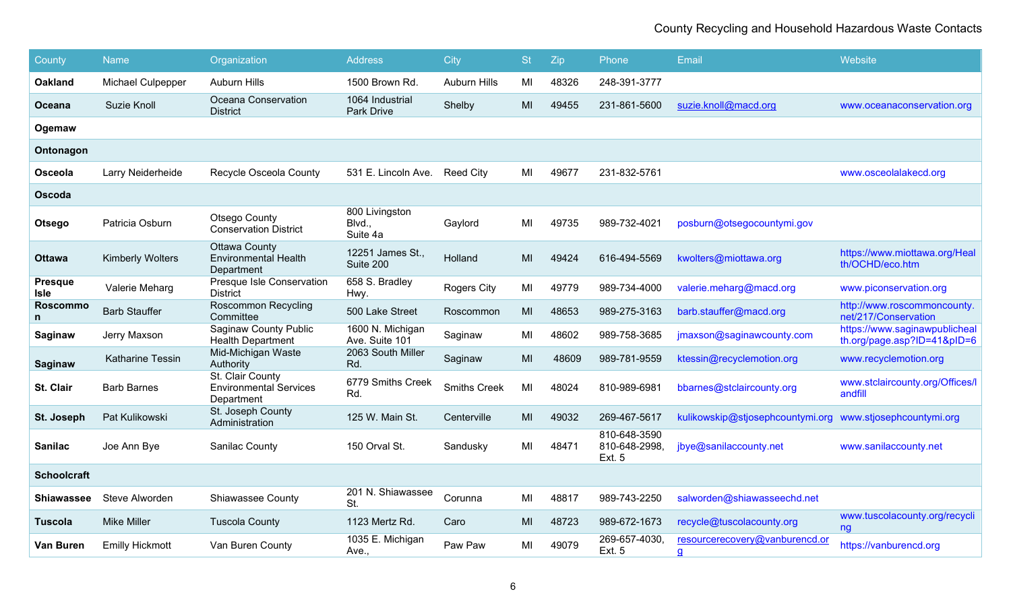| County                        | <b>Name</b>              | Organization                                                      | <b>Address</b>                       | <b>City</b>         | <b>St</b> | Zip   | Phone                                          | Email                               | Website                                                      |
|-------------------------------|--------------------------|-------------------------------------------------------------------|--------------------------------------|---------------------|-----------|-------|------------------------------------------------|-------------------------------------|--------------------------------------------------------------|
| <b>Oakland</b>                | <b>Michael Culpepper</b> | <b>Auburn Hills</b>                                               | 1500 Brown Rd.                       | <b>Auburn Hills</b> | MI        | 48326 | 248-391-3777                                   |                                     |                                                              |
| Oceana                        | Suzie Knoll              | Oceana Conservation<br><b>District</b>                            | 1064 Industrial<br>Park Drive        | Shelby              | MI        | 49455 | 231-861-5600                                   | suzie.knoll@macd.org                | www.oceanaconservation.org                                   |
| Ogemaw                        |                          |                                                                   |                                      |                     |           |       |                                                |                                     |                                                              |
| Ontonagon                     |                          |                                                                   |                                      |                     |           |       |                                                |                                     |                                                              |
| Osceola                       | Larry Neiderheide        | Recycle Osceola County                                            | 531 E. Lincoln Ave.                  | <b>Reed City</b>    | MI        | 49677 | 231-832-5761                                   |                                     | www.osceolalakecd.org                                        |
| Oscoda                        |                          |                                                                   |                                      |                     |           |       |                                                |                                     |                                                              |
| Otsego                        | Patricia Osburn          | Otsego County<br><b>Conservation District</b>                     | 800 Livingston<br>Blvd.,<br>Suite 4a | Gaylord             | MI        | 49735 | 989-732-4021                                   | posburn@otsegocountymi.gov          |                                                              |
| <b>Ottawa</b>                 | <b>Kimberly Wolters</b>  | <b>Ottawa County</b><br><b>Environmental Health</b><br>Department | 12251 James St.,<br>Suite 200        | Holland             | MI        | 49424 | 616-494-5569                                   | kwolters@miottawa.org               | https://www.miottawa.org/Heal<br>th/OCHD/eco.htm             |
| <b>Presque</b><br><b>Isle</b> | Valerie Meharg           | Presque Isle Conservation<br><b>District</b>                      | 658 S. Bradley<br>Hwy.               | Rogers City         | MI        | 49779 | 989-734-4000                                   | valerie.meharg@macd.org             | www.piconservation.org                                       |
| <b>Roscommo</b>               | <b>Barb Stauffer</b>     | <b>Roscommon Recycling</b><br>Committee                           | 500 Lake Street                      | Roscommon           | MI        | 48653 | 989-275-3163                                   | barb.stauffer@macd.org              | http://www.roscommoncounty.<br>net/217/Conservation          |
| Saginaw                       | Jerry Maxson             | <b>Saginaw County Public</b><br><b>Health Department</b>          | 1600 N. Michigan<br>Ave. Suite 101   | Saginaw             | MI        | 48602 | 989-758-3685                                   | jmaxson@saginawcounty.com           | https://www.saginawpublicheal<br>th.org/page.asp?ID=41&pID=6 |
| <b>Saginaw</b>                | Katharine Tessin         | Mid-Michigan Waste<br>Authority                                   | 2063 South Miller<br>Rd.             | Saginaw             | MI        | 48609 | 989-781-9559                                   | ktessin@recyclemotion.org           | www.recyclemotion.org                                        |
| St. Clair                     | <b>Barb Barnes</b>       | St. Clair County<br><b>Environmental Services</b><br>Department   | 6779 Smiths Creek<br>Rd.             | <b>Smiths Creek</b> | MI        | 48024 | 810-989-6981                                   | bbarnes@stclaircounty.org           | www.stclaircounty.org/Offices/I<br>andfill                   |
| St. Joseph                    | Pat Kulikowski           | St. Joseph County<br>Administration                               | 125 W. Main St.                      | Centerville         | MI        | 49032 | 269-467-5617                                   | kulikowskip@stjosephcountymi.org    | www.stjosephcountymi.org                                     |
| <b>Sanilac</b>                | Joe Ann Bye              | Sanilac County                                                    | 150 Orval St.                        | Sandusky            | MI        | 48471 | 810-648-3590<br>810-648-2998,<br><b>Ext. 5</b> | jbye@sanilaccounty.net              | www.sanilaccounty.net                                        |
| <b>Schoolcraft</b>            |                          |                                                                   |                                      |                     |           |       |                                                |                                     |                                                              |
| Shiawassee                    | Steve Alworden           | Shiawassee County                                                 | 201 N. Shiawassee<br>St.             | Corunna             | MI        | 48817 | 989-743-2250                                   | salworden@shiawasseechd.net         |                                                              |
| <b>Tuscola</b>                | <b>Mike Miller</b>       | <b>Tuscola County</b>                                             | 1123 Mertz Rd.                       | Caro                | MI        | 48723 | 989-672-1673                                   | recycle@tuscolacounty.org           | www.tuscolacounty.org/recycli<br>ng                          |
| Van Buren                     | <b>Emilly Hickmott</b>   | Van Buren County                                                  | 1035 E. Michigan<br>Ave              | Paw Paw             | MI        | 49079 | 269-657-4030,<br><b>Ext. 5</b>                 | resourcerecovery@vanburencd.or<br>g | https://vanburencd.org                                       |